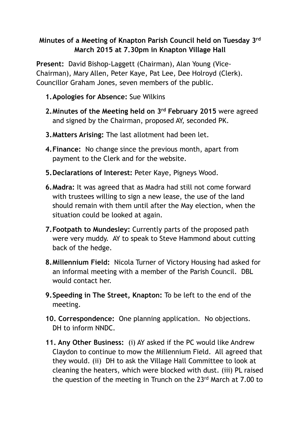## **Minutes of a Meeting of Knapton Parish Council held on Tuesday 3rd March 2015 at 7.30pm in Knapton Village Hall**

**Present:** David Bishop-Laggett (Chairman), Alan Young (Vice-Chairman), Mary Allen, Peter Kaye, Pat Lee, Dee Holroyd (Clerk). Councillor Graham Jones, seven members of the public.

- **1.Apologies for Absence:** Sue Wilkins
- **2.Minutes of the Meeting held on 3rd February 2015** were agreed and signed by the Chairman, proposed AY, seconded PK.
- **3.Matters Arising:** The last allotment had been let.
- **4.Finance:** No change since the previous month, apart from payment to the Clerk and for the website.
- **5.Declarations of Interest:** Peter Kaye, Pigneys Wood.
- **6.Madra:** It was agreed that as Madra had still not come forward with trustees willing to sign a new lease, the use of the land should remain with them until after the May election, when the situation could be looked at again.
- **7.Footpath to Mundesley:** Currently parts of the proposed path were very muddy. AY to speak to Steve Hammond about cutting back of the hedge.
- **8.Millennium Field:** Nicola Turner of Victory Housing had asked for an informal meeting with a member of the Parish Council. DBL would contact her.
- **9.Speeding in The Street, Knapton:** To be left to the end of the meeting.
- **10. Correspondence:** One planning application. No objections. DH to inform NNDC.
- **11. Any Other Business:** (i) AY asked if the PC would like Andrew Claydon to continue to mow the Millennium Field. All agreed that they would. (ii) DH to ask the Village Hall Committee to look at cleaning the heaters, which were blocked with dust. (iii) PL raised the question of the meeting in Trunch on the 23<sup>rd</sup> March at 7.00 to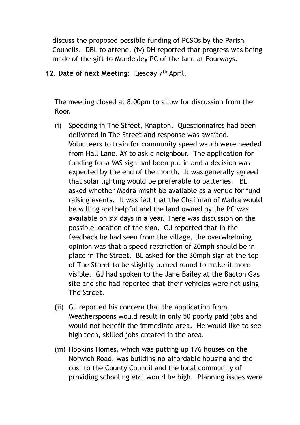discuss the proposed possible funding of PCSOs by the Parish Councils. DBL to attend. (iv) DH reported that progress was being made of the gift to Mundesley PC of the land at Fourways.

**12. Date of next Meeting:** Tuesday 7th April.

The meeting closed at 8.00pm to allow for discussion from the floor.

- (i) Speeding in The Street, Knapton. Questionnaires had been delivered in The Street and response was awaited. Volunteers to train for community speed watch were needed from Hall Lane. AY to ask a neighbour. The application for funding for a VAS sign had been put in and a decision was expected by the end of the month. It was generally agreed that solar lighting would be preferable to batteries. BL asked whether Madra might be available as a venue for fund raising events. It was felt that the Chairman of Madra would be willing and helpful and the land owned by the PC was available on six days in a year. There was discussion on the possible location of the sign. GJ reported that in the feedback he had seen from the village, the overwhelming opinion was that a speed restriction of 20mph should be in place in The Street. BL asked for the 30mph sign at the top of The Street to be slightly turned round to make it more visible. GJ had spoken to the Jane Bailey at the Bacton Gas site and she had reported that their vehicles were not using The Street.
- (ii) GJ reported his concern that the application from Weatherspoons would result in only 50 poorly paid jobs and would not benefit the immediate area. He would like to see high tech, skilled jobs created in the area.
- (iii) Hopkins Homes, which was putting up 176 houses on the Norwich Road, was building no affordable housing and the cost to the County Council and the local community of providing schooling etc. would be high. Planning issues were